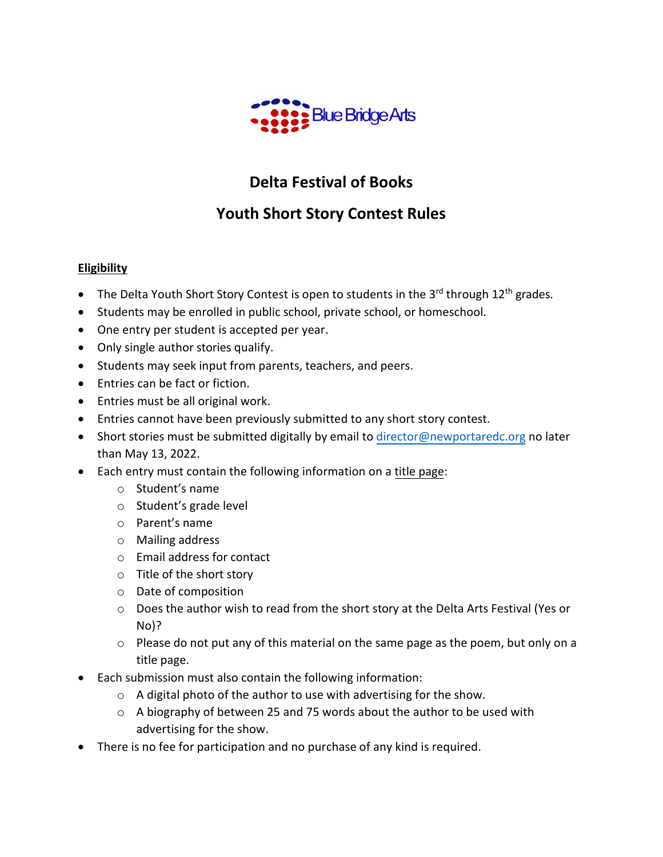

# **Delta Festival of Books**

## **Youth Short Story Contest Rules**

## **Eligibility**

- The Delta Youth Short Story Contest is open to students in the 3<sup>rd</sup> through 12<sup>th</sup> grades.
- Students may be enrolled in public school, private school, or homeschool.
- One entry per student is accepted per year.
- Only single author stories qualify.
- Students may seek input from parents, teachers, and peers.
- Entries can be fact or fiction.
- Entries must be all original work.
- Entries cannot have been previously submitted to any short story contest.
- Short stories must be submitted digitally by email to [director@newportaredc.org](mailto:director@newportaredc.org) no later than May 13, 2022.
- Each entry must contain the following information on a title page:
	- o Student's name
	- o Student's grade level
	- o Parent's name
	- o Mailing address
	- o Email address for contact
	- o Title of the short story
	- o Date of composition
	- $\circ$  Does the author wish to read from the short story at the Delta Arts Festival (Yes or No)?
	- o Please do not put any of this material on the same page as the poem, but only on a title page.
- Each submission must also contain the following information:
	- $\circ$  A digital photo of the author to use with advertising for the show.
	- o A biography of between 25 and 75 words about the author to be used with advertising for the show.
- There is no fee for participation and no purchase of any kind is required.